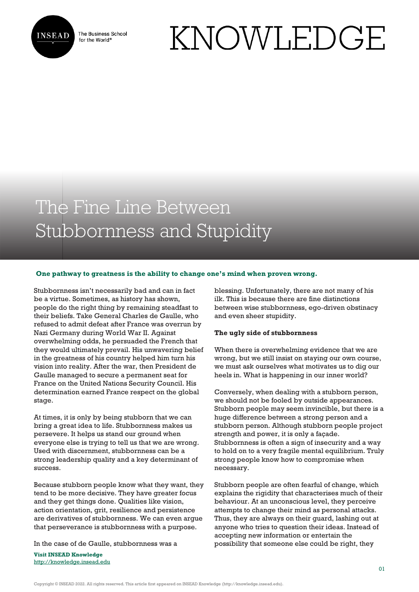

The Business School for the World<sup>®</sup>

# KNOWLEDGE

# The Fine Line Between Stubbornness and Stupidity

### **One pathway to greatness is the ability to change one's mind when proven wrong.**

Stubbornness isn't necessarily bad and can in fact be a virtue. Sometimes, as history has shown, people do the right thing by remaining steadfast to their beliefs. Take General Charles de Gaulle, who refused to admit defeat after France was overrun by Nazi Germany during World War II. Against overwhelming odds, he persuaded the French that they would ultimately prevail. His unwavering belief in the greatness of his country helped him turn his vision into reality. After the war, then President de Gaulle managed to secure a permanent seat for France on the United Nations Security Council. His determination earned France respect on the global stage.

At times, it is only by being stubborn that we can bring a great idea to life. Stubbornness makes us persevere. It helps us stand our ground when everyone else is trying to tell us that we are wrong. Used with discernment, stubbornness can be a strong leadership quality and a key determinant of success.

Because stubborn people know what they want, they tend to be more decisive. They have greater focus and they get things done. Qualities like vision, action orientation, grit, resilience and persistence are derivatives of stubbornness. We can even argue that perseverance is stubbornness with a purpose.

In the case of de Gaulle, stubbornness was a

**Visit INSEAD Knowledge** <http://knowledge.insead.edu> blessing. Unfortunately, there are not many of his ilk. This is because there are fine distinctions between wise stubbornness, ego-driven obstinacy and even sheer stupidity.

#### **The ugly side of stubbornness**

When there is overwhelming evidence that we are wrong, but we still insist on staying our own course, we must ask ourselves what motivates us to dig our heels in. What is happening in our inner world?

Conversely, when dealing with a stubborn person, we should not be fooled by outside appearances. Stubborn people may seem invincible, but there is a huge difference between a strong person and a stubborn person. Although stubborn people project strength and power, it is only a façade. Stubbornness is often a sign of insecurity and a way to hold on to a very fragile mental equilibrium. Truly strong people know how to compromise when necessary.

Stubborn people are often fearful of change, which explains the rigidity that characterises much of their behaviour. At an unconscious level, they perceive attempts to change their mind as personal attacks. Thus, they are always on their guard, lashing out at anyone who tries to question their ideas. Instead of accepting new information or entertain the possibility that someone else could be right, they

Copyright © INSEAD 2022. All rights reserved. This article first appeared on INSEAD Knowledge (http://knowledge.insead.edu).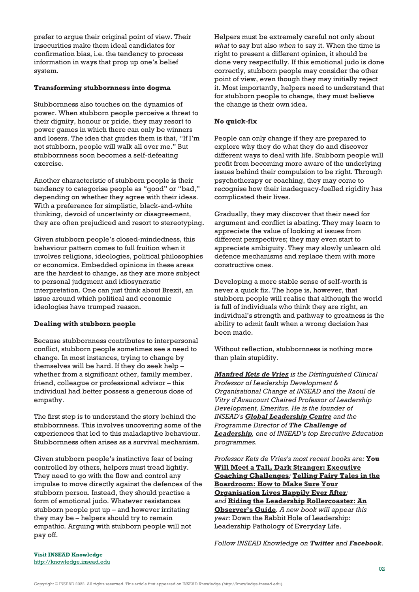prefer to argue their original point of view. Their insecurities make them ideal candidates for confirmation bias, i.e. the tendency to process information in ways that prop up one's belief system.

# **Transforming stubbornness into dogma**

Stubbornness also touches on the dynamics of power. When stubborn people perceive a threat to their dignity, honour or pride, they may resort to power games in which there can only be winners and losers. The idea that guides them is that, "If I'm not stubborn, people will walk all over me." But stubbornness soon becomes a self-defeating exercise.

Another characteristic of stubborn people is their tendency to categorise people as "good" or "bad," depending on whether they agree with their ideas. With a preference for simplistic, black-and-white thinking, devoid of uncertainty or disagreement, they are often prejudiced and resort to stereotyping.

Given stubborn people's closed-mindedness, this behaviour pattern comes to full fruition when it involves religions, ideologies, political philosophies or economics. Embedded opinions in these areas are the hardest to change, as they are more subject to personal judgment and idiosyncratic interpretation. One can just think about Brexit, an issue around which political and economic ideologies have trumped reason.

# **Dealing with stubborn people**

Because stubbornness contributes to interpersonal conflict, stubborn people sometimes see a need to change. In most instances, trying to change by themselves will be hard. If they do seek help – whether from a significant other, family member, friend, colleague or professional advisor – this individual had better possess a generous dose of empathy.

The first step is to understand the story behind the stubbornness. This involves uncovering some of the experiences that led to this maladaptive behaviour. Stubbornness often arises as a survival mechanism.

Given stubborn people's instinctive fear of being controlled by others, helpers must tread lightly. They need to go with the flow and control any impulse to move directly against the defences of the stubborn person. Instead, they should practise a form of emotional judo. Whatever resistances stubborn people put up – and however irritating they may be – helpers should try to remain empathic. Arguing with stubborn people will not pay off.

Helpers must be extremely careful not only about *what* to say but also *when* to say it. When the time is right to present a different opinion, it should be done very respectfully. If this emotional judo is done correctly, stubborn people may consider the other point of view, even though they may initially reject it. Most importantly, helpers need to understand that for stubborn people to change, they must believe the change is their own idea.

# **No quick-fix**

People can only change if they are prepared to explore why they do what they do and discover different ways to deal with life. Stubborn people will profit from becoming more aware of the underlying issues behind their compulsion to be right. Through psychotherapy or coaching, they may come to recognise how their inadequacy-fuelled rigidity has complicated their lives.

Gradually, they may discover that their need for argument and conflict is abating. They may learn to appreciate the value of looking at issues from different perspectives; they may even start to appreciate ambiguity. They may slowly unlearn old defence mechanisms and replace them with more constructive ones.

Developing a more stable sense of self-worth is never a quick fix. The hope is, however, that stubborn people will realise that although the world is full of individuals who think they are right, an individual's strength and pathway to greatness is the ability to admit fault when a wrong decision has been made.

Without reflection, stubbornness is nothing more than plain stupidity.

*[Manfred Kets de Vries](https://www.insead.edu/faculty-research/faculty/manfred-f-r-kets-de-vries) is the Distinguished Clinical Professor of Leadership Development & Organisational Change at INSEAD and the Raoul de Vitry d'Avaucourt Chaired Professor of Leadership Development, Emeritus. He is the founder of INSEAD's [Global Leadership Centre](http://centres.insead.edu/global-leadership/) and the Programme Director of [The Challenge of](http://executive-education.insead.edu/challenge_leadership) [Leadership](http://executive-education.insead.edu/challenge_leadership), one of INSEAD's top Executive Education programmes.*

*Professor Kets de Vries's most recent books are:* **[You](https://www.amazon.com/Will-Meet-Tall-Dark-Stranger/dp/1137562668) [Will Meet a Tall, Dark Stranger: Executive](https://www.amazon.com/Will-Meet-Tall-Dark-Stranger/dp/1137562668) [Coaching Challenges](https://www.amazon.com/Will-Meet-Tall-Dark-Stranger/dp/1137562668)***;* **[Telling Fairy Tales in the](https://www.amazon.com/Telling-Fairy-Tales-Boardroom-Organization/dp/1137562722) [Boardroom: How to Make Sure Your](https://www.amazon.com/Telling-Fairy-Tales-Boardroom-Organization/dp/1137562722) [Organisation Lives Happily Ever After](https://www.amazon.com/Telling-Fairy-Tales-Boardroom-Organization/dp/1137562722)***; and* **[Riding the Leadership Rollercoaster: An](https://www.amazon.com/Riding-Leadership-Rollercoaster-observers-guide/dp/3319451618) [Observer's Guide](https://www.amazon.com/Riding-Leadership-Rollercoaster-observers-guide/dp/3319451618)***. A new book will appear this year:* Down the Rabbit Hole of Leadership: Leadership Pathology of Everyday Life.

*Follow INSEAD Knowledge on [Twitter](http://www.twitter.com/inseadknowledge) and [Facebook](http://www.facebook.com/Knowledge.insead)*.

**Visit INSEAD Knowledge** <http://knowledge.insead.edu>

Copyright © INSEAD 2022. All rights reserved. This article first appeared on INSEAD Knowledge (http://knowledge.insead.edu).